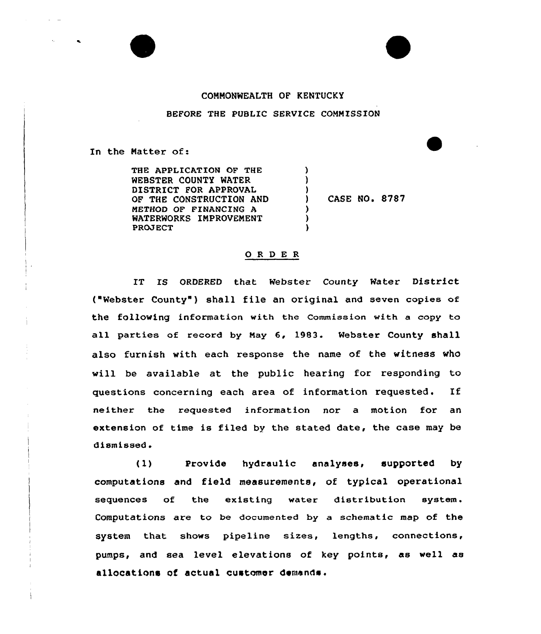

## CONNONWEALTH OF KENTUCKY

BEFORE THE PUBLIC SERVICE COMMISSION

) ) )

> ) ) )

In the Natter of:

i.

THE APPLICATION OF THE WEBSTER COUNTY WATER DISTRICT FOR APPROVAL OF THE CONSTRUCTION AND METHOD OF FINANCING A WATERWORKS INPROVENENT PROJECT

) CASE NO. 8787

## 0 R <sup>D</sup> E <sup>R</sup>

IT IS ORDERED that Webster County Water District ("Webster County" ) shall file an original and seven copies of the following information with the Commission with a copy to all parties of record by May 6, 1983. Webster County shall also furnish with each response the name of the witness who will be available at the public hearing for responding to questions concerning each area of information requested. Xf neither the requested information nor a motion for an extension of time is filed by the stated date, the case may be dismissed.

(1) Provide hydraulic analyses, supported by computations and field measurements, of typical operational sequences of the existing water distribution system. Computations are to be documented by a schematic map of the system that shows pipeline sizes, lengths, connections, pumps, and sea level elevations of key points, as we11 as allocations of actual customer demands.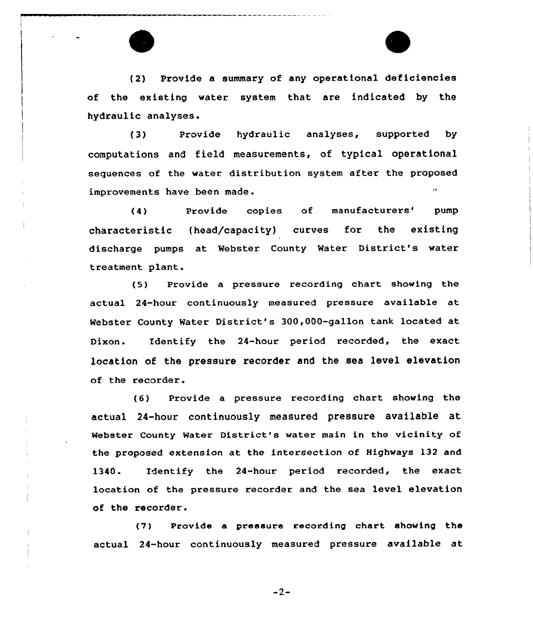

(3) Provide hydraulic analyses, supported by computations and field measurements, of typical operational sequences of the water distribution system after the proposed improvements have been made.

(4) Provide copies of manufacturers' pump characteristic {head/capacity) curves for the existing discharge pumps at Webster County Water District's water treatment plant.

(5) Provide a pressure recording chart showing the actual 24-hour continuously measured pressure available at Webster County Water District's 300,000-gallon tank located at Dixon. Identify the 24-hour period recorded, the exact location of the pressure recorder and the sea level elevation of the recorder .

(6) Provide a pressure recording chart showing the actual 24-hour continuously measured pressure available at Webster County Water District's water main in the vicinity of the proposed extension at the intersection of Highways 132 and 1340. Identify the 24-hour period recorded, the exact location of the pressure recorder and the sea level elevation of the recorder.

(7) Provide a pressure recording chart showing the actual 24-hour continuously measured pressure available at

 $-2-$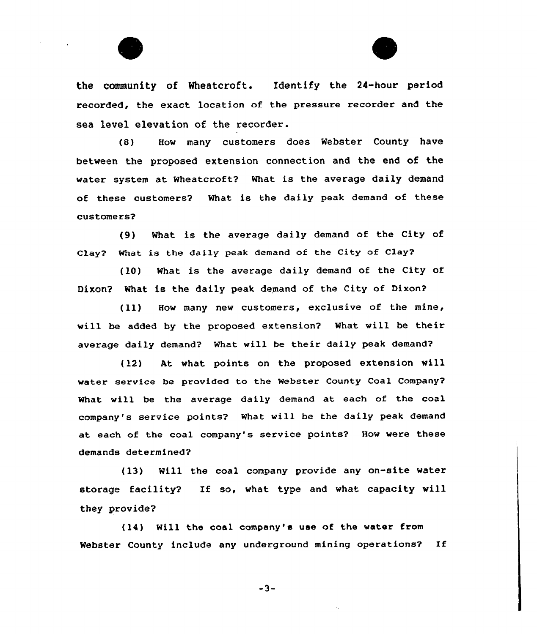

the community of Whestcroft. Identify the 24-hour period recorded, the exact location of the pressure recorder and the sea level elevation of the recorder.

(8) How many customers does Webster County have between the proposed extension connection and the end of the water system at Wheatcroft? What is the average daily demand of these customers2 What is the daily peak demand of these customers?

(9) What is the average daily demand of the City of Clay? What is the daily peak demand of the City of Clay?

(10) What is the average daily demand of the City of Dixon2 What is the daily peak demand of the City of Dixon?

(ll) How many new customers, exclusive of the mine, will be added by the proposed extension? What will be their average daily demand? What will be their daily peak demand?

(12) At what points on the proposed extension will water service be provided to the Webster County Coal Company2 What will be the average daily demand at each of the coal company's service points? What will be the daily peak demand at each of the coal company's service points? How vere these demands determined?

(13) Will the coal company provide any on-site water storage facility? If so, what type and what capacity will they provide?

(14) Will the coal company's use of the water from Webster County include any underground mining operations? If

 $-3-$